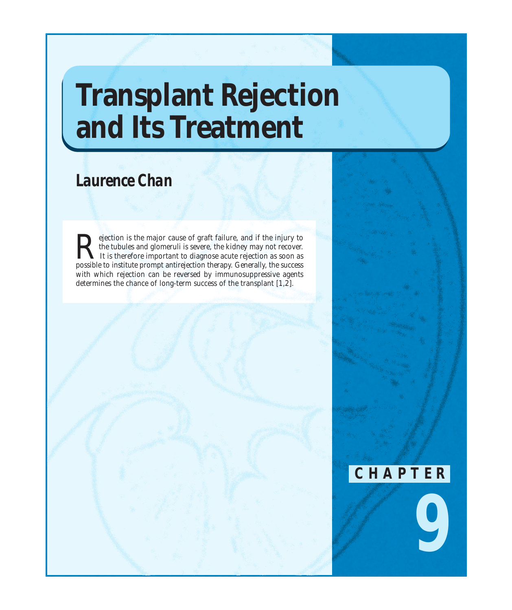# **Transplant Rejection and Its Treatment**

# *Laurence Chan*

Rejection is the major cause of graft failure, and if the injury to the tubules and glomeruli is severe, the kidney may not recover.<br>It is therefore important to diagnose acute rejection as soon as nossible to institute pr the tubules and glomeruli is severe, the kidney may not recover. It is therefore important to diagnose acute rejection as soon as possible to institute prompt antirejection therapy. Generally, the success with which rejection can be reversed by immunosuppressive agents determines the chance of long-term success of the transplant [1,2].



*9*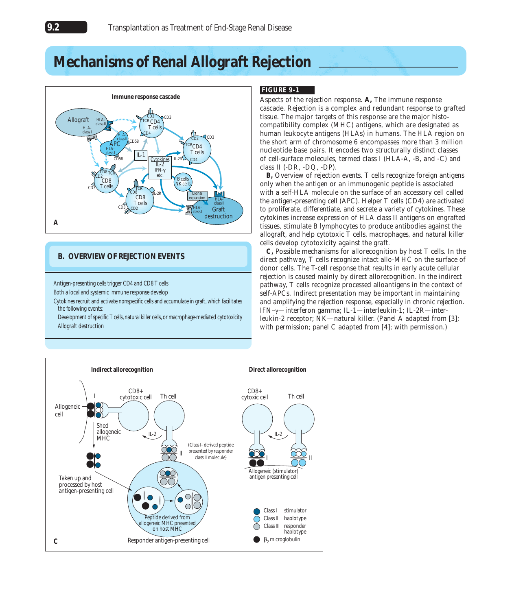# **Mechanisms of Renal Allograft Rejection**



### **B. OVERVIEW OF REJECTION EVENTS**

Antigen-presenting cells trigger CD4 and CD8 T cells

Both a local and systemic immune response develop

Cytokines recruit and activate nonspecific cells and accumulate in graft, which facilitates the following events:

Development of specific T cells, natural killer cells, or macrophage-mediated cytotoxicity Allograft destruction

# **FIGURE 9-1**

Aspects of the rejection response. **A,** The immune response cascade. Rejection is a complex and redundant response to grafted tissue. The major targets of this response are the major histocompatibility complex (MHC) antigens, which are designated as human leukocyte antigens (HLAs) in humans. The HLA region on the short arm of chromosome 6 encompasses more than 3 million nucleotide base pairs. It encodes two structurally distinct classes of cell-surface molecules, termed class I (HLA-A, -B, and -C) and class II (-DR, -DQ, -DP).

**B,** Overview of rejection events. T cells recognize foreign antigens only when the antigen or an immunogenic peptide is associated with a self-HLA molecule on the surface of an accessory cell called the antigen-presenting cell (APC). Helper T cells (CD4) are activated to proliferate, differentiate, and secrete a variety of cytokines. These cytokines increase expression of HLA class II antigens on engrafted tissues, stimulate B lymphocytes to produce antibodies against the allograft, and help cytotoxic T cells, macrophages, and natural killer cells develop cytotoxicity against the graft.

**C,** Possible mechanisms for allorecognition by host T cells. In the direct pathway, T cells recognize intact allo-MHC on the surface of donor cells. The T-cell response that results in early acute cellular rejection is caused mainly by direct allorecognition. In the indirect pathway, T cells recognize processed alloantigens in the context of self-APCs. Indirect presentation may be important in maintaining and amplifying the rejection response, especially in chronic rejection. IFN-g—interferon gamma; IL-1—interleukin-1; IL-2R—interleukin-2 receptor; NK—natural killer. (*Panel A adapted from* [3]; with permission; *panel C adapted from* [4]; with permission.)

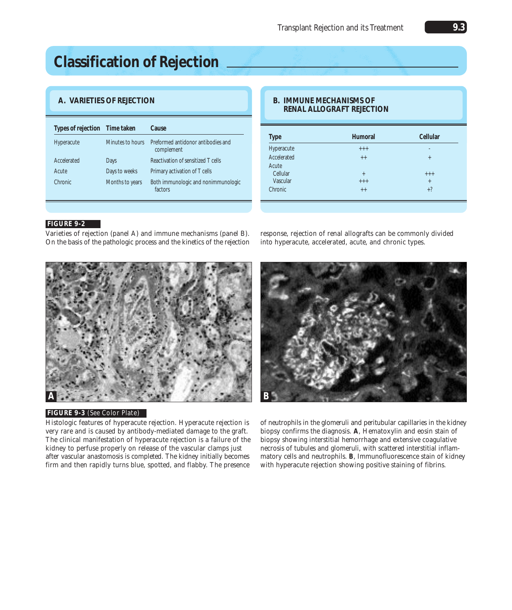# **Classification of Rejection**

# **A. VARIETIES OF REJECTION**

| Types of rejection Time taken |                  | Cause                                            |
|-------------------------------|------------------|--------------------------------------------------|
| Hyperacute                    | Minutes to hours | Preformed antidonor antibodies and<br>complement |
| Accelerated                   | Days             | Reactivation of sensitized T cells               |
| Acute                         | Days to weeks    | Primary activation of T cells                    |
| Chronic                       | Months to years  | Both immunologic and nonimmunologic<br>factors   |

### **B. IMMUNE MECHANISMS OF RENAL ALLOGRAFT REJECTION**

| <b>Type</b> | Humoral | Cellular |  |
|-------------|---------|----------|--|
| Hyperacute  | $+++$   | ۰        |  |
| Accelerated | $++$    | $+$      |  |
| Acute       |         |          |  |
| Cellular    | $+$     | $+++$    |  |
| Vascular    | $+++$   | $+$      |  |
| Chronic     | $+ +$   | $+?$     |  |

### **FIGURE 9-2**

Varieties of rejection (*panel A*) and immune mechanisms (*panel B*). On the basis of the pathologic process and the kinetics of the rejection



response, rejection of renal allografts can be commonly divided into hyperacute, accelerated, acute, and chronic types.



#### **FIGURE 9-3** (*See* Color Plate)

Histologic features of hyperacute rejection. Hyperacute rejection is very rare and is caused by antibody-mediated damage to the graft. The clinical manifestation of hyperacute rejection is a failure of the kidney to perfuse properly on release of the vascular clamps just after vascular anastomosis is completed. The kidney initially becomes firm and then rapidly turns blue, spotted, and flabby. The presence of neutrophils in the glomeruli and peritubular capillaries in the kidney biopsy confirms the diagnosis. **A**, Hematoxylin and eosin stain of biopsy showing interstitial hemorrhage and extensive coagulative necrosis of tubules and glomeruli, with scattered interstitial inflammatory cells and neutrophils. **B**, Immunofluorescence stain of kidney with hyperacute rejection showing positive staining of fibrins.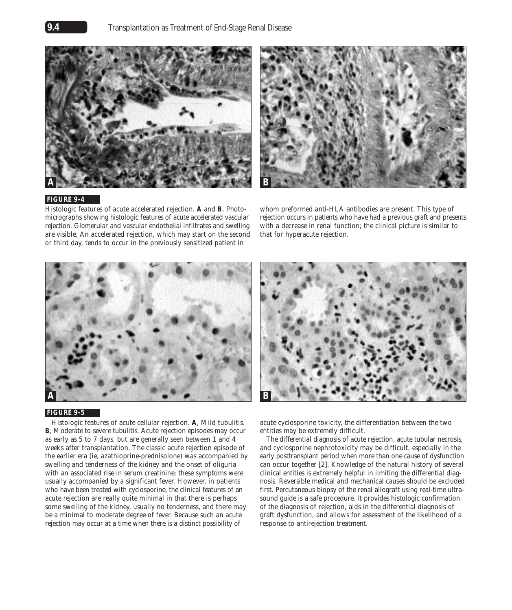



### **FIGURE 9-4**

Histologic features of acute accelerated rejection. **A** and **B**, Photomicrographs showing histologic features of acute accelerated vascular rejection. Glomerular and vascular endothelial infiltrates and swelling are visible. An accelerated rejection, which may start on the second or third day, tends to occur in the previously sensitized patient in

whom preformed anti-HLA antibodies are present. This type of rejection occurs in patients who have had a previous graft and presents with a decrease in renal function; the clinical picture is similar to that for hyperacute rejection.



#### **FIGURE 9-5**

Histologic features of acute cellular rejection. **A**, Mild tubulitis. **B**, Moderate to severe tubulitis. Acute rejection episodes may occur as early as 5 to 7 days, but are generally seen between 1 and 4 weeks after transplantation. The classic acute rejection episode of the earlier era (*ie*, azathioprine-prednisolone) was accompanied by swelling and tenderness of the kidney and the onset of oliguria with an associated rise in serum creatinine; these symptoms were usually accompanied by a significant fever. However, in patients who have been treated with cyclosporine, the clinical features of an acute rejection are really quite minimal in that there is perhaps some swelling of the kidney, usually no tenderness, and there may be a minimal to moderate degree of fever. Because such an acute rejection may occur at a time when there is a distinct possibility of



acute cyclosporine toxicity, the differentiation between the two entities may be extremely difficult.

The differential diagnosis of acute rejection, acute tubular necrosis, and cyclosporine nephrotoxicity may be difficult, especially in the early posttransplant period when more than one cause of dysfunction can occur together [2]. Knowledge of the natural history of several clinical entities is extremely helpful in limiting the differential diagnosis. Reversible medical and mechanical causes should be excluded first. Percutaneous biopsy of the renal allograft using real-time ultrasound guide is a safe procedure. It provides histologic confirmation of the diagnosis of rejection, aids in the differential diagnosis of graft dysfunction, and allows for assessment of the likelihood of a response to antirejection treatment.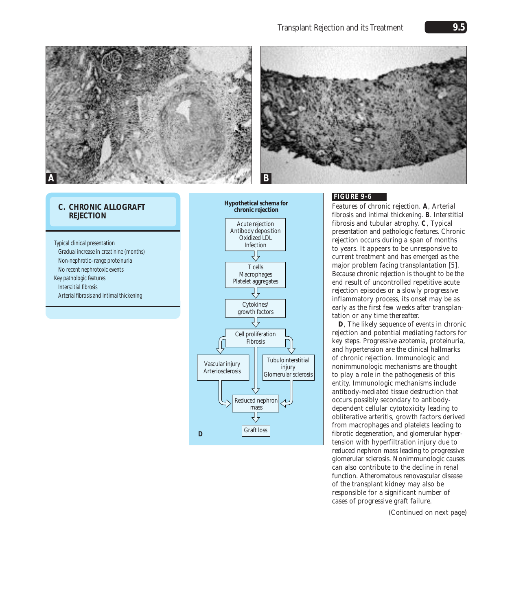### Transplant Rejection and its Treatment **9.5**





### **C. CHRONIC ALLOGRAFT REJECTION**

Typical clinical presentation Gradual increase in creatinine (months) Non-nephrotic–range proteinuria No recent nephrotoxic events Key pathologic features Interstitial fibrosis Arterial fibrosis and intimal thickening



### **FIGURE 9-6**

Features of chronic rejection. **A**, Arterial fibrosis and intimal thickening. **B**. Interstitial fibrosis and tubular atrophy. **C**, Typical presentation and pathologic features. Chronic rejection occurs during a span of months to years. It appears to be unresponsive to current treatment and has emerged as the major problem facing transplantation [5]. Because chronic rejection is thought to be the end result of uncontrolled repetitive acute rejection episodes or a slowly progressive inflammatory process, its onset may be as early as the first few weeks after transplantation or any time thereafter.

**D**, The likely sequence of events in chronic rejection and potential mediating factors for key steps. Progressive azotemia, proteinuria, and hypertension are the clinical hallmarks of chronic rejection. Immunologic and nonimmunologic mechanisms are thought to play a role in the pathogenesis of this entity. Immunologic mechanisms include antibody-mediated tissue destruction that occurs possibly secondary to antibodydependent cellular cytotoxicity leading to obliterative arteritis, growth factors derived from macrophages and platelets leading to fibrotic degeneration, and glomerular hypertension with hyperfiltration injury due to reduced nephron mass leading to progressive glomerular sclerosis. Nonimmunologic causes can also contribute to the decline in renal function. Atheromatous renovascular disease of the transplant kidney may also be responsible for a significant number of cases of progressive graft failure.

*(Continued on next page)*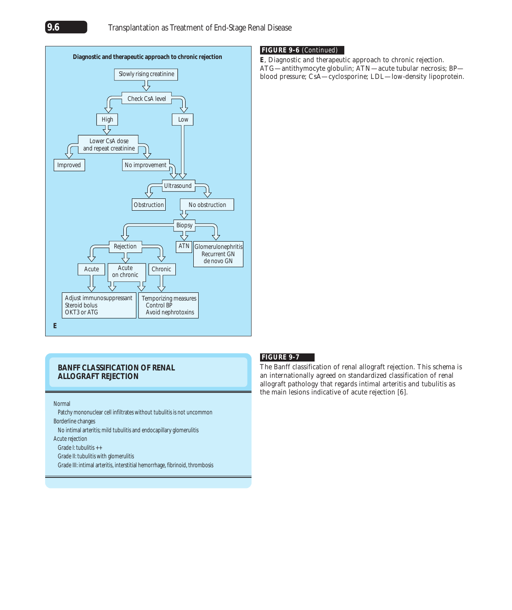

### **FIGURE 9-6** (*Continued*)

**E**, Diagnostic and therapeutic approach to chronic rejection. ATG—antithymocyte globulin; ATN—acute tubular necrosis; BP blood pressure; CsA—cyclosporine; LDL—low-density lipoprotein.

### **BANFF CLASSIFICATION OF RENAL ALLOGRAFT REJECTION**

#### Normal

Patchy mononuclear cell infiltrates without tubulitis is not uncommon Borderline changes

No intimal arteritis; mild tubulitis and endocapillary glomerulitis

Acute rejection

Grade I: tubulitis ++

Grade II: tubulitis with glomerulitis

Grade III: intimal arteritis, interstitial hemorrhage, fibrinoid, thrombosis

#### **FIGURE 9-7**

The Banff classification of renal allograft rejection. This schema is an internationally agreed on standardized classification of renal allograft pathology that regards intimal arteritis and tubulitis as the main lesions indicative of acute rejection [6].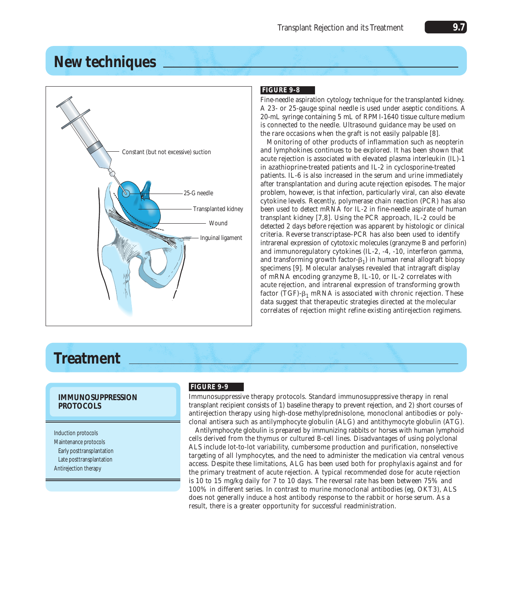# **New techniques**



# **FIGURE 9-8**

Fine-needle aspiration cytology technique for the transplanted kidney. A 23- or 25-gauge spinal needle is used under aseptic conditions. A 20-mL syringe containing 5 mL of RPMI-1640 tissue culture medium is connected to the needle. Ultrasound guidance may be used on the rare occasions when the graft is not easily palpable [8].

Monitoring of other products of inflammation such as neopterin and lymphokines continues to be explored. It has been shown that acute rejection is associated with elevated plasma interleukin (IL)-1 in azathioprine-treated patients and IL-2 in cyclosporine-treated patients. IL-6 is also increased in the serum and urine immediately after transplantation and during acute rejection episodes. The major problem, however, is that infection, particularly viral, can also elevate cytokine levels. Recently, polymerase chain reaction (PCR) has also been used to detect mRNA for IL-2 in fine-needle aspirate of human transplant kidney [7,8]. Using the PCR approach, IL-2 could be detected 2 days before rejection was apparent by histologic or clinical criteria. Reverse transcriptase–PCR has also been used to identify intrarenal expression of cytotoxic molecules (granzyme B and perforin) and immunoregulatory cytokines (IL-2, -4, -10, interferon gamma, and transforming growth factor- $\beta_1$ ) in human renal allograft biopsy specimens [9]. Molecular analyses revealed that intragraft display of mRNA encoding granzyme B, IL-10, or IL-2 correlates with acute rejection, and intrarenal expression of transforming growth factor (TGF)- $\beta_1$  mRNA is associated with chronic rejection. These data suggest that therapeutic strategies directed at the molecular correlates of rejection might refine existing antirejection regimens.

# **Treatment**

### **IMMUNOSUPPRESSION PROTOCOLS**

Induction protocols Maintenance protocols Early posttransplantation Late posttransplantation Antirejection therapy

### **FIGURE 9-9**

Immunosuppressive therapy protocols. Standard immunosuppressive therapy in renal transplant recipient consists of 1) baseline therapy to prevent rejection, and 2) short courses of antirejection therapy using high-dose methylprednisolone, monoclonal antibodies or polyclonal antisera such as antilymphocyte globulin (ALG) and antithymocyte globulin (ATG).

Antilymphocyte globulin is prepared by immunizing rabbits or horses with human lymphoid cells derived from the thymus or cultured B-cell lines. Disadvantages of using polyclonal ALS include lot-to-lot variability, cumbersome production and purification, nonselective targeting of all lymphocytes, and the need to administer the medication via central venous access. Despite these limitations, ALG has been used both for prophylaxis against and for the primary treatment of acute rejection. A typical recommended dose for acute rejection is 10 to 15 mg/kg daily for 7 to 10 days. The reversal rate has been between 75% and 100% in different series. In contrast to murine monoclonal antibodies (*eg*, OKT3), ALS does not generally induce a host antibody response to the rabbit or horse serum. As a result, there is a greater opportunity for successful readministration.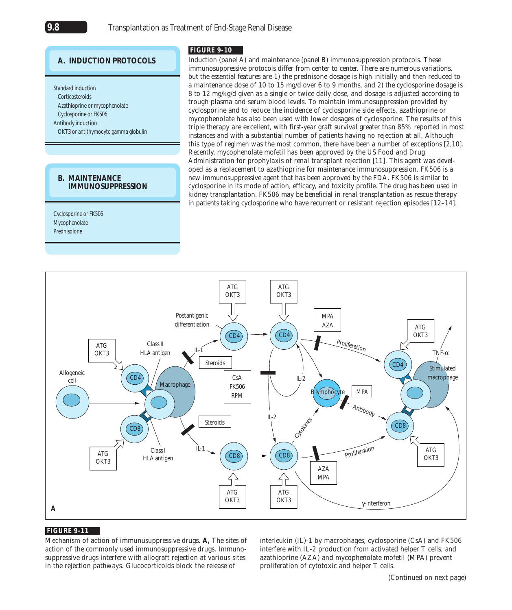# **A. INDUCTION PROTOCOLS**

Standard induction **Corticosteroids** Azathioprine or mycophenolate Cyclosporine or FK506 Antibody induction OKT3 or antithymocyte gamma globulin

### **B. MAINTENANCE IMMUNOSUPPRESSION**

Cyclosporine or FK506 Mycophenolate Prednisolone

### **FIGURE 9-10**

Induction (*panel A*) and maintenance (*panel B*) immunosuppression protocols. These immunosuppressive protocols differ from center to center. There are numerous variations, but the essential features are 1) the prednisone dosage is high initially and then reduced to a maintenance dose of 10 to 15 mg/d over 6 to 9 months, and 2) the cyclosporine dosage is 8 to 12 mg/kg/d given as a single or twice daily dose, and dosage is adjusted according to trough plasma and serum blood levels. To maintain immunosuppression provided by cyclosporine and to reduce the incidence of cyclosporine side effects, azathioprine or mycophenolate has also been used with lower dosages of cyclosporine. The results of this triple therapy are excellent, with first-year graft survival greater than 85% reported in most instances and with a substantial number of patients having no rejection at all. Although this type of regimen was the most common, there have been a number of exceptions [2,10]. Recently, mycophenolate mofetil has been approved by the US Food and Drug Administration for prophylaxis of renal transplant rejection [11]. This agent was developed as a replacement to azathioprine for maintenance immunosuppression. FK506 is a new immunosuppressive agent that has been approved by the FDA. FK506 is similar to cyclosporine in its mode of action, efficacy, and toxicity profile. The drug has been used in kidney transplantation. FK506 may be beneficial in renal transplantation as rescue therapy in patients taking cyclosporine who have recurrent or resistant rejection episodes [12–14].



### **FIGURE 9-11**

Mechanism of action of immunusuppressive drugs. **A,** The sites of action of the commonly used immunosuppressive drugs. Immunosuppressive drugs interfere with allograft rejection at various sites in the rejection pathways. Glucocorticoids block the release of

interleukin (IL)-1 by macrophages, cyclosporine (CsA) and FK506 interfere with IL-2 production from activated helper T cells, and azathioprine (AZA) and mycophenolate mofetil (MPA) prevent proliferation of cytotoxic and helper T cells.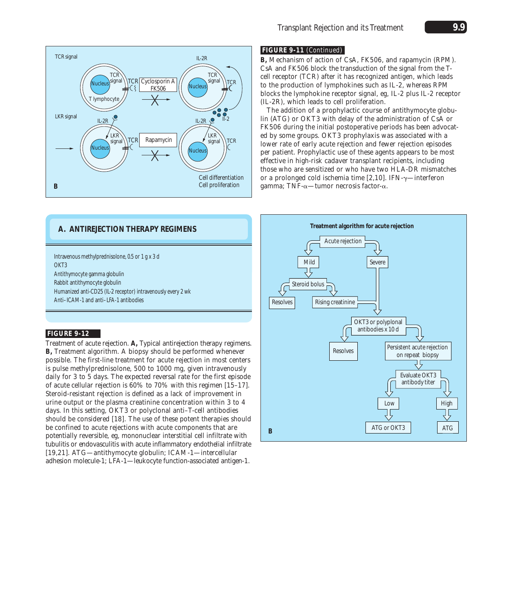

### **FIGURE 9-11** (*Continued*)

**B,** Mechanism of action of CsA, FK506, and rapamycin (RPM). CsA and FK506 block the transduction of the signal from the Tcell receptor (TCR) after it has recognized antigen, which leads to the production of lymphokines such as IL-2, whereas RPM blocks the lymphokine receptor signal, *eg*, IL-2 plus IL-2 receptor (IL-2R), which leads to cell proliferation.

The addition of a prophylactic course of antithymocyte globulin (ATG) or OKT3 with delay of the administration of CsA or FK506 during the initial postoperative periods has been advocated by some groups. OKT3 prophylaxis was associated with a lower rate of early acute rejection and fewer rejection episodes per patient. Prophylactic use of these agents appears to be most effective in high-risk cadaver transplant recipients, including those who are sensitized or who have two HLA-DR mismatches or a prolonged cold ischemia time [2,10]. IFN- $\gamma$ —interferon gamma; TNF- $\alpha$ —tumor necrosis factor- $\alpha$ .

# **A. ANTIREJECTION THERAPY REGIMENS**

Intravenous methylprednisolone, 0.5 or 1 g x 3 d OKT<sub>3</sub> Antithymocyte gamma globulin Rabbit antithymocyte globulin Humanized anti-CD25 (IL-2 receptor) intravenously every 2 wk Anti–ICAM-1 and anti–LFA-1 antibodies

### **FIGURE 9-12**

Treatment of acute rejection. **A,** Typical antirejection therapy regimens. **B,** Treatment algorithm. A biopsy should be performed whenever possible. The first-line treatment for acute rejection in most centers is pulse methylprednisolone, 500 to 1000 mg, given intravenously daily for 3 to 5 days. The expected reversal rate for the first episode of acute cellular rejection is 60% to 70% with this regimen [15–17]. Steroid-resistant rejection is defined as a lack of improvement in urine output or the plasma creatinine concentration within 3 to 4 days. In this setting, OKT3 or polyclonal anti–T-cell antibodies should be considered [18]. The use of these potent therapies should be confined to acute rejections with acute components that are potentially reversible, *eg*, mononuclear interstitial cell infiltrate with tubulitis or endovasculitis with acute inflammatory endothelial infiltrate [19,21]. ATG—antithymocyte globulin; ICAM-1—intercellular adhesion molecule-1; LFA-1—leukocyte function-associated antigen-1.

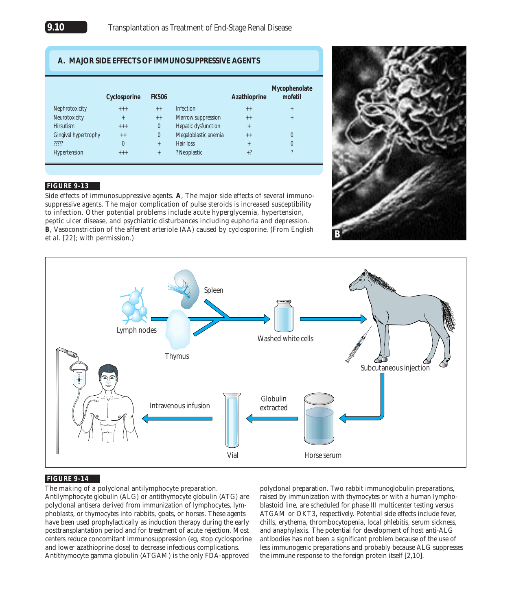### **A. MAJOR SIDE EFFECTS OF IMMUNOSUPPRESSIVE AGENTS**

|                      | Cyclosporine | <b>FK506</b> |                      | Azathioprine | Mycophenolate<br>mofetil |
|----------------------|--------------|--------------|----------------------|--------------|--------------------------|
| Nephrotoxicity       | $+++$        | $++$         | Infection            | $++$         |                          |
| Neurotoxicity        | $^{+}$       | $++$         | Marrow suppression   | $++$         | $\ddot{}$                |
| <b>Hirsutism</b>     | $+++$        | 0            | Hepatic dysfunction  | $+$          |                          |
| Gingival hypertrophy | $++$         | 0            | Megaloblastic anemia | $++$         |                          |
| $\eta\eta\eta$       | 0            | $+$          | Hair loss            | $\ddot{}$    | $\Omega$                 |
| Hypertension         | $+++$        | $\ddot{}$    | ? Neoplastic         | $+?$         |                          |

### **FIGURE 9-13**

Side effects of immunosuppressive agents. **A**, The major side effects of several immunosuppressive agents. The major complication of pulse steroids is increased susceptibility to infection. Other potential problems include acute hyperglycemia, hypertension, peptic ulcer disease, and psychiatric disturbances including euphoria and depression. **B**, Vasoconstriction of the afferent arteriole (AA) caused by cyclosporine. (*From* English *et al*. [22]; with permission.)





### **FIGURE 9-14**

The making of a polyclonal antilymphocyte preparation.

Antilymphocyte globulin (ALG) or antithymocyte globulin (ATG) are polyclonal antisera derived from immunization of lymphocytes, lymphoblasts, or thymocytes into rabbits, goats, or horses. These agents have been used prophylactically as induction therapy during the early posttransplantation period and for treatment of acute rejection. Most centers reduce concomitant immunosuppression (*eg*, stop cyclosporine and lower azathioprine dose) to decrease infectious complications. Antithymocyte gamma globulin (ATGAM) is the only FDA-approved

polyclonal preparation. Two rabbit immunoglobulin preparations, raised by immunization with thymocytes or with a human lymphoblastoid line, are scheduled for phase III multicenter testing versus ATGAM or OKT3, respectively. Potential side effects include fever, chills, erythema, thrombocytopenia, local phlebitis, serum sickness, and anaphylaxis. The potential for development of host anti-ALG antibodies has not been a significant problem because of the use of less immunogenic preparations and probably because ALG suppresses the immune response to the foreign protein itself [2,10].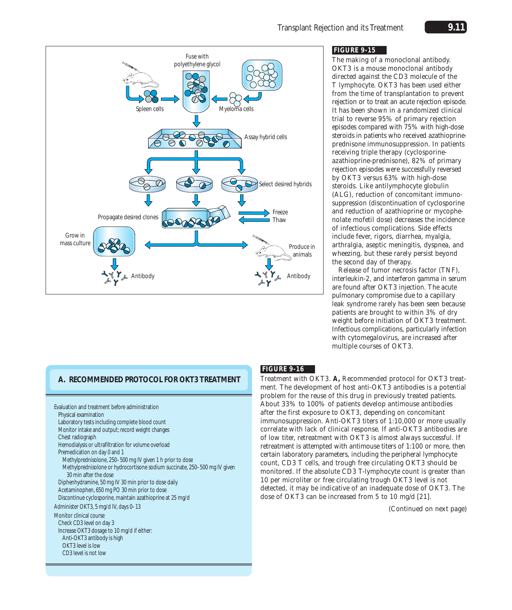

### **FIGURE 9-15**

The making of a monoclonal antibody. OKT3 is a mouse monoclonal antibody directed against the CD3 molecule of the T lymphocyte. OKT3 has been used either from the time of transplantation to prevent rejection or to treat an acute rejection episode. It has been shown in a randomized clinical trial to reverse 95% of primary rejection episodes compared with 75% with high-dose steroids in patients who received azathioprineprednisone immunosuppression. In patients receiving triple therapy (cyclosporineazathioprine-prednisone), 82% of primary rejection episodes were successfully reversed by OKT3 versus 63% with high-dose steroids. Like antilymphocyte globulin (ALG), reduction of concomitant immunosuppression (discontinuation of cyclosporine and reduction of azathioprine or mycophenolate mofetil dose) decreases the incidence of infectious complications. Side effects include fever, rigors, diarrhea, myalgia, arthralgia, aseptic meningitis, dyspnea, and wheezing, but these rarely persist beyond the second day of therapy.

Release of tumor necrosis factor (TNF), interleukin-2, and interferon gamma in serum are found after OKT3 injection. The acute pulmonary compromise due to a capillary leak syndrome rarely has been seen because patients are brought to within 3% of dry weight before initiation of OKT3 treatment. Infectious complications, particularly infection with cytomegalovirus, are increased after multiple courses of OKT3.

# **A. RECOMMENDED PROTOCOL FOR OKT3 TREATMENT**

Evaluation and treatment before administration Physical examination Laboratory tests including complete blood count Monitor intake and output; record weight changes Chest radiograph Hemodialysis or ultrafiltration for volume overload Premedication on day 0 and 1 Methylprednisolone, 250–500 mg IV given 1 h prior to dose Methylprednisolone or hydrocortisone sodium succinate, 250–500 mg IV given 30 min after the dose Diphenhydramine, 50 mg IV 30 min prior to dose daily Acetaminophen, 650 mg PO 30 min prior to dose Discontinue cyclosporine, maintain azathioprine at 25 mg/d Administer OKT3, 5 mg/d IV, days 0–13 Monitor clinical course Check CD3 level on day 3 Increase OKT3 dosage to 10 mg/d if either: Anti-OKT3 antibody is high OKT3 level is low CD3 level is not low

# **FIGURE 9-16**

Treatment with OKT3. **A,** Recommended protocol for OKT3 treatment. The development of host anti-OKT3 antibodies is a potential problem for the reuse of this drug in previously treated patients. About 33% to 100% of patients develop antimouse antibodies after the first exposure to OKT3, depending on concomitant immunosuppression. Anti-OKT3 titers of 1:10,000 or more usually correlate with lack of clinical response. If anti-OKT3 antibodies are of low titer, retreatment with OKT3 is almost always successful. If retreatment is attempted with antimouse titers of 1:100 or more, then certain laboratory parameters, including the peripheral lymphocyte count, CD3 T cells, and trough free circulating OKT3 should be monitored. If the absolute CD3 T-lymphocyte count is greater than 10 per microliter or free circulating trough OKT3 level is not detected, it may be indicative of an inadequate dose of OKT3. The dose of OKT3 can be increased from 5 to 10 mg/d [21].

*(Continued on next page)*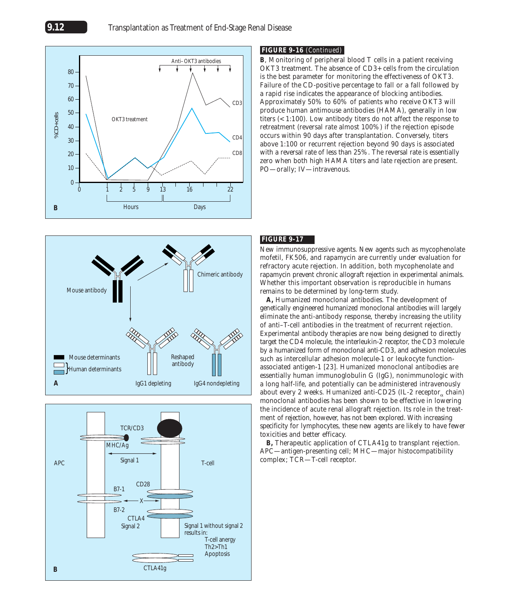





### **FIGURE 9-16** (*Continued*)

**B**, Monitoring of peripheral blood T cells in a patient receiving OKT3 treatment. The absence of CD3+ cells from the circulation is the best parameter for monitoring the effectiveness of OKT3. Failure of the CD-positive percentage to fall or a fall followed by a rapid rise indicates the appearance of blocking antibodies. Approximately 50% to 60% of patients who receive OKT3 will produce human antimouse antibodies (HAMA), generally in low titers (< 1:100). Low antibody titers do not affect the response to retreatment (reversal rate almost 100%) if the rejection episode occurs within 90 days after transplantation. Conversely, titers above 1:100 or recurrent rejection beyond 90 days is associated with a reversal rate of less than 25%. The reversal rate is essentially zero when both high HAMA titers and late rejection are present. PO—orally; IV—intravenous.

### **FIGURE 9-17**

New immunosuppressive agents. New agents such as mycophenolate mofetil, FK506, and rapamycin are currently under evaluation for refractory acute rejection. In addition, both mycophenolate and rapamycin prevent chronic allograft rejection in experimental animals. Whether this important observation is reproducible in humans remains to be determined by long-term study.

**A,** Humanized monoclonal antibodies. The development of genetically engineered humanized monoclonal antibodies will largely eliminate the anti-antibody response, thereby increasing the utility of anti–T-cell antibodies in the treatment of recurrent rejection. Experimental antibody therapies are now being designed to directly target the CD4 molecule, the interleukin-2 receptor, the CD3 molecule by a humanized form of monoclonal anti-CD3, and adhesion molecules such as intercellular adhesion molecule-1 or leukocyte functionassociated antigen-1 [23]. Humanized monoclonal antibodies are essentially human immunoglobulin G (IgG), nonimmunologic with a long half-life, and potentially can be administered intravenously about every 2 weeks. Humanized anti-CD25 (IL-2 receptor<sub> $\alpha$ </sub> chain) monoclonal antibodies has been shown to be effective in lowering the incidence of acute renal allograft rejection. Its role in the treatment of rejection, however, has not been explored. With increasing specificity for lymphocytes, these new agents are likely to have fewer toxicities and better efficacy.

**B,** Therapeutic application of CTLA41g to transplant rejection. APC—antigen-presenting cell; MHC—major histocompatibility complex; TCR—T-cell receptor.